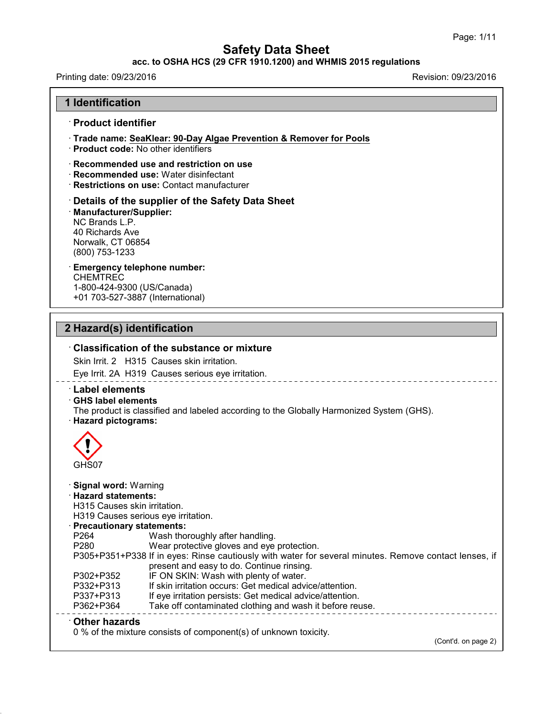### **acc. to OSHA HCS (29 CFR 1910.1200) and WHMIS 2015 regulations**

## Printing date: 09/23/2016 **Revision: 09/23/2016**

43.0

|                                                                                                      | · Product identifier                                                                                                                                  |
|------------------------------------------------------------------------------------------------------|-------------------------------------------------------------------------------------------------------------------------------------------------------|
|                                                                                                      | Trade name: SeaKlear: 90-Day Algae Prevention & Remover for Pools<br>· Product code: No other identifiers                                             |
|                                                                                                      | $\cdot$ Recommended use and restriction on use<br>· Recommended use: Water disinfectant<br>· Restrictions on use: Contact manufacturer                |
| · Manufacturer/Supplier:<br>NC Brands L.P.<br>40 Richards Ave<br>Norwalk, CT 06854<br>(800) 753-1233 | Details of the supplier of the Safety Data Sheet                                                                                                      |
| <b>CHEMTREC</b><br>1-800-424-9300 (US/Canada)                                                        | <b>Emergency telephone number:</b><br>+01 703-527-3887 (International)                                                                                |
| 2 Hazard(s) identification                                                                           |                                                                                                                                                       |
| <b>Label elements</b>                                                                                | $\cdot$ Classification of the substance or mixture<br>Skin Irrit. 2 H315 Causes skin irritation.<br>Eye Irrit. 2A H319 Causes serious eye irritation. |
|                                                                                                      | The product is classified and labeled according to the Globally Harmonized System (GHS).                                                              |
| GHS label elements<br>· Hazard pictograms:<br>GHS07<br>· Signal word: Warning                        |                                                                                                                                                       |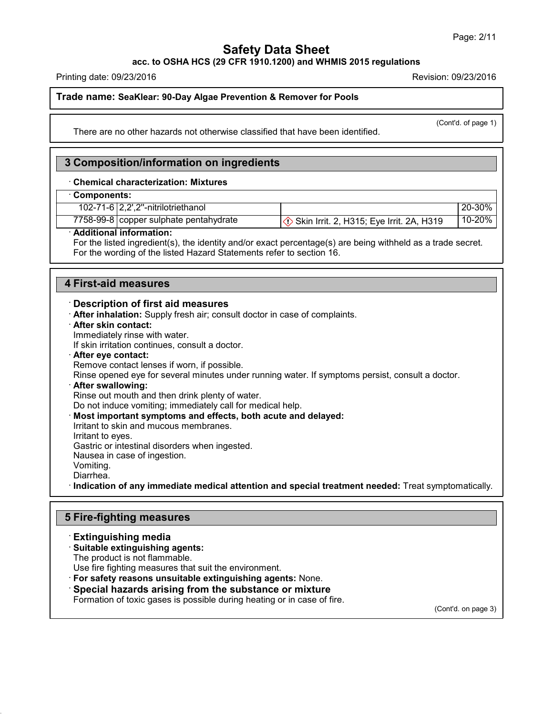**acc. to OSHA HCS (29 CFR 1910.1200) and WHMIS 2015 regulations**

Printing date: 09/23/2016 Revision: 09/23/2016

(Cont'd. of page 1)

**Trade name: SeaKlear: 90-Day Algae Prevention & Remover for Pools**

There are no other hazards not otherwise classified that have been identified.

### **3 Composition/information on ingredients**

#### · **Chemical characterization: Mixtures**

### · **Components:**

| $10 - 20%$<br>7758-99-8 copper sulphate pentahydrate<br>$\Im$ Skin Irrit. 2, H315; Eye Irrit. 2A, H319 | 102-71-6   2,2',2"-nitrilotriethanol | 20-30% |
|--------------------------------------------------------------------------------------------------------|--------------------------------------|--------|
|                                                                                                        |                                      |        |

#### · **Additional information:**

For the listed ingredient(s), the identity and/or exact percentage(s) are being withheld as a trade secret. For the wording of the listed Hazard Statements refer to section 16.

### **4 First-aid measures**

#### · **Description of first aid measures**

- · **After inhalation:** Supply fresh air; consult doctor in case of complaints.
- · **After skin contact:**

Immediately rinse with water.

If skin irritation continues, consult a doctor.

#### · **After eye contact:**

Remove contact lenses if worn, if possible.

Rinse opened eye for several minutes under running water. If symptoms persist, consult a doctor.

#### · **After swallowing:**

Rinse out mouth and then drink plenty of water.

Do not induce vomiting; immediately call for medical help.

· **Most important symptoms and effects, both acute and delayed:**

Irritant to skin and mucous membranes.

Irritant to eyes.

Gastric or intestinal disorders when ingested.

Nausea in case of ingestion.

Vomiting.

Diarrhea.

43.0

· **Indication of any immediate medical attention and special treatment needed:** Treat symptomatically.

### **5 Fire-fighting measures**

### · **Extinguishing media**

· **Suitable extinguishing agents:**

The product is not flammable.

Use fire fighting measures that suit the environment.

### · **For safety reasons unsuitable extinguishing agents:** None.

· **Special hazards arising from the substance or mixture**

Formation of toxic gases is possible during heating or in case of fire.

(Cont'd. on page 3)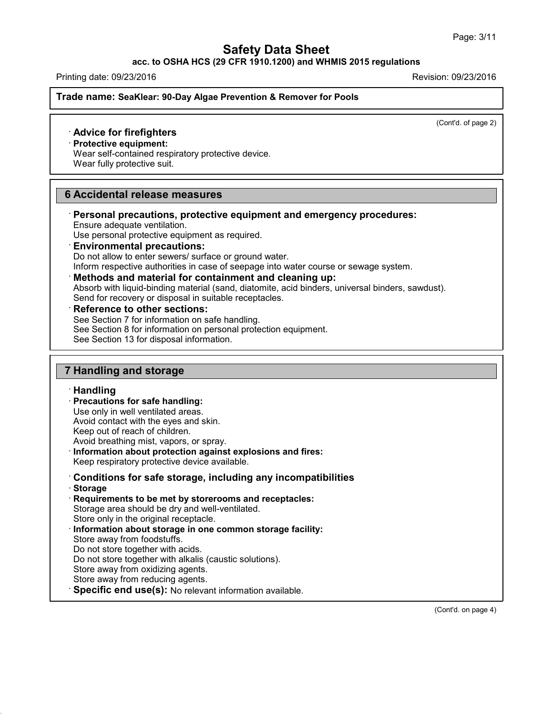### **acc. to OSHA HCS (29 CFR 1910.1200) and WHMIS 2015 regulations**

Printing date: 09/23/2016 Revision: 09/23/2016

**Trade name: SeaKlear: 90-Day Algae Prevention & Remover for Pools**

(Cont'd. of page 2)

### · **Advice for firefighters**

· **Protective equipment:**

Wear self-contained respiratory protective device.

Wear fully protective suit.

### **6 Accidental release measures**

· **Personal precautions, protective equipment and emergency procedures:** Ensure adequate ventilation.

Use personal protective equipment as required.

## · **Environmental precautions:**

Do not allow to enter sewers/ surface or ground water.

Inform respective authorities in case of seepage into water course or sewage system.

#### · **Methods and material for containment and cleaning up:**

Absorb with liquid-binding material (sand, diatomite, acid binders, universal binders, sawdust). Send for recovery or disposal in suitable receptacles.

### · **Reference to other sections:**

See Section 7 for information on safe handling.

- See Section 8 for information on personal protection equipment.
- See Section 13 for disposal information.

### **7 Handling and storage**

### · **Handling**

· **Precautions for safe handling:**

Use only in well ventilated areas.

- Avoid contact with the eyes and skin.
- Keep out of reach of children.

Avoid breathing mist, vapors, or spray.

· **Information about protection against explosions and fires:**

Keep respiratory protective device available.

### · **Conditions for safe storage, including any incompatibilities**

· **Storage**

43.0

· **Requirements to be met by storerooms and receptacles:**

Storage area should be dry and well-ventilated.

- Store only in the original receptacle.
- · **Information about storage in one common storage facility:** Store away from foodstuffs.
- Do not store together with acids.
- Do not store together with alkalis (caustic solutions).
- Store away from oxidizing agents.
- Store away from reducing agents.
- · **Specific end use(s):** No relevant information available.

(Cont'd. on page 4)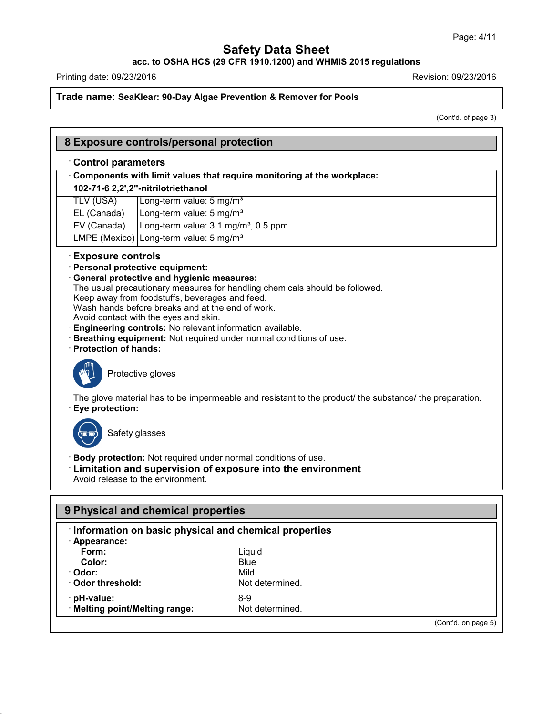**acc. to OSHA HCS (29 CFR 1910.1200) and WHMIS 2015 regulations**

Printing date: 09/23/2016 **Printing date:** 09/23/2016

Г

43.0

## **Trade name: SeaKlear: 90-Day Algae Prevention & Remover for Pools**

(Cont'd. of page 3)

|                                                    | 8 Exposure controls/personal protection                                                                                                                                                                                                                                                                                                                                                                                                            |  |
|----------------------------------------------------|----------------------------------------------------------------------------------------------------------------------------------------------------------------------------------------------------------------------------------------------------------------------------------------------------------------------------------------------------------------------------------------------------------------------------------------------------|--|
| <b>Control parameters</b>                          |                                                                                                                                                                                                                                                                                                                                                                                                                                                    |  |
|                                                    | Components with limit values that require monitoring at the workplace:                                                                                                                                                                                                                                                                                                                                                                             |  |
|                                                    | 102-71-6 2,2',2"-nitrilotriethanol                                                                                                                                                                                                                                                                                                                                                                                                                 |  |
| <b>TLV (USA)</b>                                   | Long-term value: 5 mg/m <sup>3</sup>                                                                                                                                                                                                                                                                                                                                                                                                               |  |
| EL (Canada)                                        | Long-term value: 5 mg/m <sup>3</sup>                                                                                                                                                                                                                                                                                                                                                                                                               |  |
| EV (Canada)                                        | Long-term value: 3.1 mg/m <sup>3</sup> , 0.5 ppm                                                                                                                                                                                                                                                                                                                                                                                                   |  |
|                                                    | LMPE (Mexico) Long-term value: $5 \text{ mg/m}^3$                                                                                                                                                                                                                                                                                                                                                                                                  |  |
| <b>Exposure controls</b><br>· Protection of hands: | · Personal protective equipment:<br>· General protective and hygienic measures:<br>The usual precautionary measures for handling chemicals should be followed.<br>Keep away from foodstuffs, beverages and feed.<br>Wash hands before breaks and at the end of work.<br>Avoid contact with the eyes and skin.<br>· Engineering controls: No relevant information available.<br>· Breathing equipment: Not required under normal conditions of use. |  |
| · Eye protection:                                  | Protective gloves<br>The glove material has to be impermeable and resistant to the product/ the substance/ the preparation.<br>Safety glasses                                                                                                                                                                                                                                                                                                      |  |
|                                                    | · Body protection: Not required under normal conditions of use.<br>Limitation and supervision of exposure into the environment<br>Avoid release to the environment.                                                                                                                                                                                                                                                                                |  |
|                                                    | 9 Physical and chemical properties                                                                                                                                                                                                                                                                                                                                                                                                                 |  |
|                                                    | Information on basic physical and chemical properties                                                                                                                                                                                                                                                                                                                                                                                              |  |
| · Appearance:                                      |                                                                                                                                                                                                                                                                                                                                                                                                                                                    |  |
| Form:                                              | Liquid                                                                                                                                                                                                                                                                                                                                                                                                                                             |  |
| Color:                                             | <b>Blue</b>                                                                                                                                                                                                                                                                                                                                                                                                                                        |  |

| · Odor:<br><b>Odor threshold:</b><br>· pH-value: | Mild<br>Not determined.<br>8-9 |   |  |
|--------------------------------------------------|--------------------------------|---|--|
| · Melting point/Melting range:                   | Not determined.                |   |  |
|                                                  |                                | . |  |

(Cont'd. on page 5)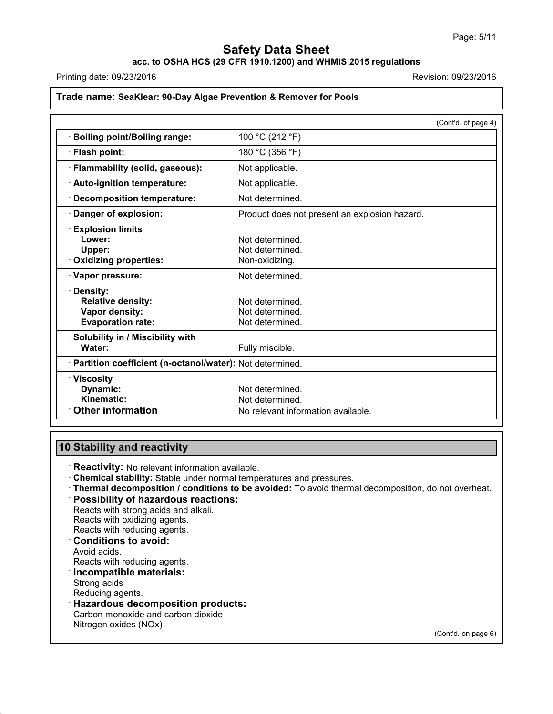**acc. to OSHA HCS (29 CFR 1910.1200) and WHMIS 2015 regulations**

Printing date: 09/23/2016 Revision: 09/23/2016

### **Trade name: SeaKlear: 90-Day Algae Prevention & Remover for Pools**

|                                                            | (Cont'd. of page 4)                           |
|------------------------------------------------------------|-----------------------------------------------|
| <b>Boiling point/Boiling range:</b>                        | 100 °C (212 °F)                               |
| · Flash point:                                             | 180 °C (356 °F)                               |
| · Flammability (solid, gaseous):                           | Not applicable.                               |
| Auto-ignition temperature:                                 | Not applicable.                               |
| <b>Decomposition temperature:</b>                          | Not determined.                               |
| Danger of explosion:                                       | Product does not present an explosion hazard. |
| <b>Explosion limits</b>                                    |                                               |
| Lower:                                                     | Not determined.                               |
| Upper:                                                     | Not determined.                               |
| <b>Oxidizing properties:</b>                               | Non-oxidizing.                                |
| · Vapor pressure:                                          | Not determined.                               |
| <b>Density:</b>                                            |                                               |
| <b>Relative density:</b>                                   | Not determined.                               |
| Vapor density:                                             | Not determined.                               |
| <b>Evaporation rate:</b>                                   | Not determined.                               |
| · Solubility in / Miscibility with                         |                                               |
| Water:                                                     | Fully miscible.                               |
| · Partition coefficient (n-octanol/water): Not determined. |                                               |
| $\cdot$ Viscosity                                          |                                               |
| Dynamic:                                                   | Not determined.                               |
| Kinematic:                                                 | Not determined.                               |
| <b>Other information</b>                                   | No relevant information available.            |

## **10 Stability and reactivity**

· **Reactivity:** No relevant information available.

- · **Chemical stability:** Stable under normal temperatures and pressures.
- · **Thermal decomposition / conditions to be avoided:** To avoid thermal decomposition, do not overheat.

## · **Possibility of hazardous reactions:**

Reacts with strong acids and alkali. Reacts with oxidizing agents.

Reacts with reducing agents.

### · **Conditions to avoid:**

Avoid acids.

Reacts with reducing agents.

### · **Incompatible materials:**

Strong acids

43.0

Reducing agents.

## · **Hazardous decomposition products:**

Carbon monoxide and carbon dioxide Nitrogen oxides (NOx)

(Cont'd. on page 6)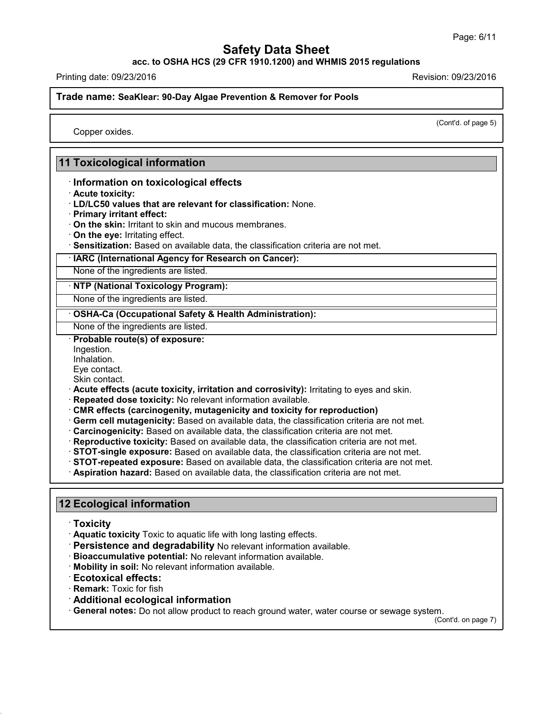**acc. to OSHA HCS (29 CFR 1910.1200) and WHMIS 2015 regulations**

Printing date: 09/23/2016 Revision: 09/23/2016

**Trade name: SeaKlear: 90-Day Algae Prevention & Remover for Pools**

(Cont'd. of page 5)

Copper oxides.

### **11 Toxicological information**

· **Information on toxicological effects**

- · **Acute toxicity:**
- · **LD/LC50 values that are relevant for classification:** None.
- · **Primary irritant effect:**
- · **On the skin:** Irritant to skin and mucous membranes.
- · **On the eye:** Irritating effect.
- · **Sensitization:** Based on available data, the classification criteria are not met.

· **IARC (International Agency for Research on Cancer):**

None of the ingredients are listed.

· **NTP (National Toxicology Program):**

None of the ingredients are listed.

### · **OSHA-Ca (Occupational Safety & Health Administration):**

None of the ingredients are listed.

· **Probable route(s) of exposure:**

Ingestion.

Inhalation.

Eye contact.

Skin contact.

- · **Acute effects (acute toxicity, irritation and corrosivity):** Irritating to eyes and skin.
- · **Repeated dose toxicity:** No relevant information available.
- · **CMR effects (carcinogenity, mutagenicity and toxicity for reproduction)**
- · **Germ cell mutagenicity:** Based on available data, the classification criteria are not met.
- · **Carcinogenicity:** Based on available data, the classification criteria are not met.
- · **Reproductive toxicity:** Based on available data, the classification criteria are not met.
- · **STOT-single exposure:** Based on available data, the classification criteria are not met.
- · **STOT-repeated exposure:** Based on available data, the classification criteria are not met.
- · **Aspiration hazard:** Based on available data, the classification criteria are not met.

### **12 Ecological information**

· **Toxicity**

43.0

- · **Aquatic toxicity** Toxic to aquatic life with long lasting effects.
- · **Persistence and degradability** No relevant information available.
- · **Bioaccumulative potential:** No relevant information available.
- · **Mobility in soil:** No relevant information available.
- · **Ecotoxical effects:**
- · **Remark:** Toxic for fish
- · **Additional ecological information**
- · **General notes:** Do not allow product to reach ground water, water course or sewage system.

(Cont'd. on page 7)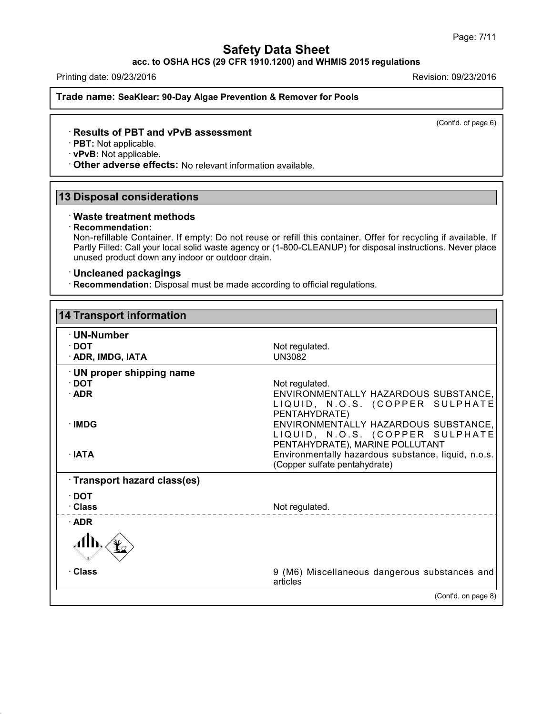**acc. to OSHA HCS (29 CFR 1910.1200) and WHMIS 2015 regulations**

Printing date: 09/23/2016 Revision: 09/23/2016

**Trade name: SeaKlear: 90-Day Algae Prevention & Remover for Pools**

(Cont'd. of page 6)

### · **Results of PBT and vPvB assessment**

· **PBT:** Not applicable.

· **vPvB:** Not applicable.

· **Other adverse effects:** No relevant information available.

## **13 Disposal considerations**

### · **Waste treatment methods**

#### · **Recommendation:**

43.0

Non-refillable Container. If empty: Do not reuse or refill this container. Offer for recycling if available. If Partly Filled: Call your local solid waste agency or (1-800-CLEANUP) for disposal instructions. Never place unused product down any indoor or outdoor drain.

### · **Uncleaned packagings**

· **Recommendation:** Disposal must be made according to official regulations.

| <b>14 Transport information</b>                         |                                                                                                                                                                                                    |
|---------------------------------------------------------|----------------------------------------------------------------------------------------------------------------------------------------------------------------------------------------------------|
| · UN-Number<br>$\cdot$ DOT<br>· ADR, IMDG, IATA         | Not regulated.<br><b>UN3082</b>                                                                                                                                                                    |
| · UN proper shipping name<br>$\cdot$ DOT<br>$\cdot$ ADR | Not regulated.<br>ENVIRONMENTALLY HAZARDOUS SUBSTANCE,<br>LIQUID, N.O.S. (COPPER SULPHATE<br>PENTAHYDRATE)                                                                                         |
| · IMDG<br>$\cdot$ IATA                                  | ENVIRONMENTALLY HAZARDOUS SUBSTANCE,<br>LIQUID, N.O.S. (COPPER SULPHATE<br>PENTAHYDRATE), MARINE POLLUTANT<br>Environmentally hazardous substance, liquid, n.o.s.<br>(Copper sulfate pentahydrate) |
| Transport hazard class(es)                              |                                                                                                                                                                                                    |
| $\cdot$ DOT<br>· Class                                  | Not regulated.                                                                                                                                                                                     |
| $\cdot$ ADR                                             |                                                                                                                                                                                                    |
|                                                         |                                                                                                                                                                                                    |
| · Class                                                 | 9 (M6) Miscellaneous dangerous substances and<br>articles                                                                                                                                          |
|                                                         | (Cont'd. on page 8)                                                                                                                                                                                |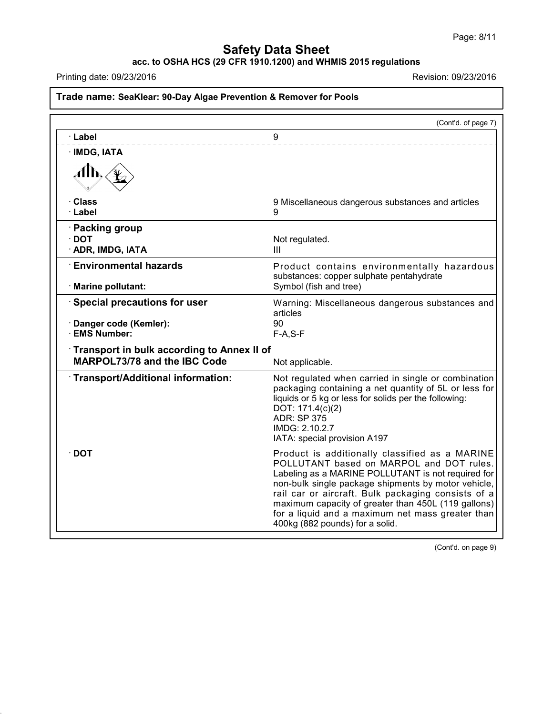**acc. to OSHA HCS (29 CFR 1910.1200) and WHMIS 2015 regulations**

Printing date: 09/23/2016 **Printing date:** 09/23/2016

43.0

|                                                                                   | (Cont'd. of page 7)                                                                                                                                                                                                                                                                                                                                                                                         |
|-----------------------------------------------------------------------------------|-------------------------------------------------------------------------------------------------------------------------------------------------------------------------------------------------------------------------------------------------------------------------------------------------------------------------------------------------------------------------------------------------------------|
| · Label                                                                           | 9                                                                                                                                                                                                                                                                                                                                                                                                           |
| · IMDG, IATA                                                                      |                                                                                                                                                                                                                                                                                                                                                                                                             |
| Alb.                                                                              |                                                                                                                                                                                                                                                                                                                                                                                                             |
| · Class<br>· Label                                                                | 9 Miscellaneous dangerous substances and articles<br>9                                                                                                                                                                                                                                                                                                                                                      |
| · Packing group<br>$\cdot$ DOT<br>· ADR, IMDG, IATA                               | Not regulated.<br>Ш                                                                                                                                                                                                                                                                                                                                                                                         |
| <b>Environmental hazards</b><br>· Marine pollutant:                               | Product contains environmentally hazardous<br>substances: copper sulphate pentahydrate<br>Symbol (fish and tree)                                                                                                                                                                                                                                                                                            |
| Special precautions for user<br>· Danger code (Kemler):<br>· EMS Number:          | Warning: Miscellaneous dangerous substances and<br>articles<br>90<br>$F-A, S-F$                                                                                                                                                                                                                                                                                                                             |
| Transport in bulk according to Annex II of<br><b>MARPOL73/78 and the IBC Code</b> | Not applicable.                                                                                                                                                                                                                                                                                                                                                                                             |
| Transport/Additional information:                                                 | Not regulated when carried in single or combination<br>packaging containing a net quantity of 5L or less for<br>liquids or 5 kg or less for solids per the following:<br>DOT: 171.4(c)(2)<br><b>ADR: SP 375</b><br>IMDG: 2.10.2.7<br>IATA: special provision A197                                                                                                                                           |
| $\cdot$ DOT                                                                       | Product is additionally classified as a MARINE<br>POLLUTANT based on MARPOL and DOT rules.<br>Labeling as a MARINE POLLUTANT is not required for<br>non-bulk single package shipments by motor vehicle,<br>rail car or aircraft. Bulk packaging consists of a<br>maximum capacity of greater than 450L (119 gallons)<br>for a liquid and a maximum net mass greater than<br>400kg (882 pounds) for a solid. |

(Cont'd. on page 9)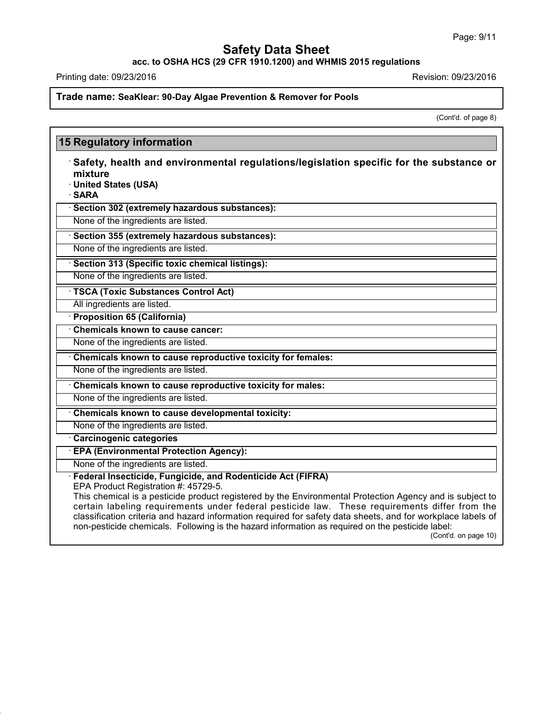**acc. to OSHA HCS (29 CFR 1910.1200) and WHMIS 2015 regulations**

Printing date: 09/23/2016 **Printing date:** 09/23/2016

43.0

**Trade name: SeaKlear: 90-Day Algae Prevention & Remover for Pools**

(Cont'd. of page 8)

| mixture<br>· United States (USA)<br>· SARA                                                            | $\cdot$ Safety, health and environmental regulations/legislation specific for the substance or                                                                                                                                                                                                                                                                                                                                                       |
|-------------------------------------------------------------------------------------------------------|------------------------------------------------------------------------------------------------------------------------------------------------------------------------------------------------------------------------------------------------------------------------------------------------------------------------------------------------------------------------------------------------------------------------------------------------------|
| · Section 302 (extremely hazardous substances):                                                       |                                                                                                                                                                                                                                                                                                                                                                                                                                                      |
| None of the ingredients are listed.                                                                   |                                                                                                                                                                                                                                                                                                                                                                                                                                                      |
| Section 355 (extremely hazardous substances):                                                         |                                                                                                                                                                                                                                                                                                                                                                                                                                                      |
| None of the ingredients are listed.                                                                   |                                                                                                                                                                                                                                                                                                                                                                                                                                                      |
| · Section 313 (Specific toxic chemical listings):                                                     |                                                                                                                                                                                                                                                                                                                                                                                                                                                      |
| None of the ingredients are listed.                                                                   |                                                                                                                                                                                                                                                                                                                                                                                                                                                      |
| · TSCA (Toxic Substances Control Act)                                                                 |                                                                                                                                                                                                                                                                                                                                                                                                                                                      |
| All ingredients are listed.                                                                           |                                                                                                                                                                                                                                                                                                                                                                                                                                                      |
| · Proposition 65 (California)                                                                         |                                                                                                                                                                                                                                                                                                                                                                                                                                                      |
| Chemicals known to cause cancer:                                                                      |                                                                                                                                                                                                                                                                                                                                                                                                                                                      |
| None of the ingredients are listed.                                                                   |                                                                                                                                                                                                                                                                                                                                                                                                                                                      |
| Chemicals known to cause reproductive toxicity for females:                                           |                                                                                                                                                                                                                                                                                                                                                                                                                                                      |
| None of the ingredients are listed.                                                                   |                                                                                                                                                                                                                                                                                                                                                                                                                                                      |
| Chemicals known to cause reproductive toxicity for males:                                             |                                                                                                                                                                                                                                                                                                                                                                                                                                                      |
| None of the ingredients are listed.                                                                   |                                                                                                                                                                                                                                                                                                                                                                                                                                                      |
| Chemicals known to cause developmental toxicity:                                                      |                                                                                                                                                                                                                                                                                                                                                                                                                                                      |
| None of the ingredients are listed.                                                                   |                                                                                                                                                                                                                                                                                                                                                                                                                                                      |
| Carcinogenic categories                                                                               |                                                                                                                                                                                                                                                                                                                                                                                                                                                      |
| <b>EPA (Environmental Protection Agency):</b>                                                         |                                                                                                                                                                                                                                                                                                                                                                                                                                                      |
| None of the ingredients are listed.                                                                   |                                                                                                                                                                                                                                                                                                                                                                                                                                                      |
| · Federal Insecticide, Fungicide, and Rodenticide Act (FIFRA)<br>EPA Product Registration #: 45729-5. | This chemical is a pesticide product registered by the Environmental Protection Agency and is subject to<br>certain labeling requirements under federal pesticide law. These requirements differ from the<br>classification criteria and hazard information required for safety data sheets, and for workplace labels of<br>non-pesticide chemicals. Following is the hazard information as required on the pesticide label:<br>(Cont'd. on page 10) |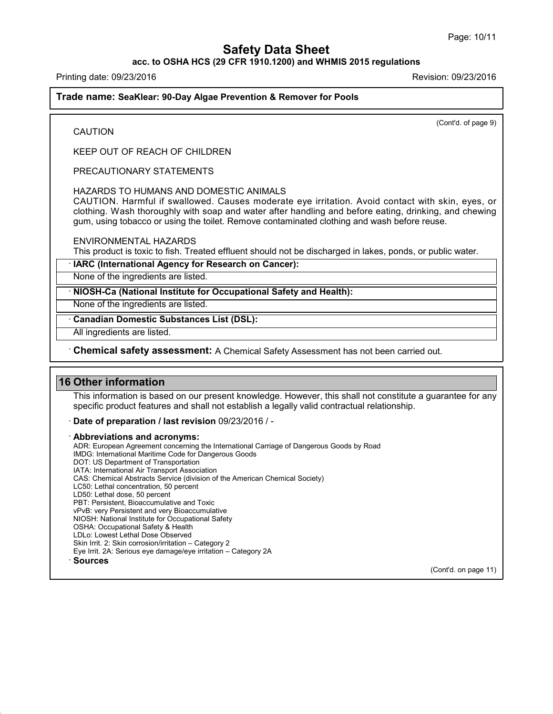### **acc. to OSHA HCS (29 CFR 1910.1200) and WHMIS 2015 regulations**

Printing date: 09/23/2016 Revision: 09/23/2016

**CAUTION** 

**Trade name: SeaKlear: 90-Day Algae Prevention & Remover for Pools**

(Cont'd. of page 9)

KEEP OUT OF REACH OF CHILDREN

PRECAUTIONARY STATEMENTS

#### HAZARDS TO HUMANS AND DOMESTIC ANIMALS

CAUTION. Harmful if swallowed. Causes moderate eye irritation. Avoid contact with skin, eyes, or clothing. Wash thoroughly with soap and water after handling and before eating, drinking, and chewing gum, using tobacco or using the toilet. Remove contaminated clothing and wash before reuse.

ENVIRONMENTAL HAZARDS

This product is toxic to fish. Treated effluent should not be discharged in lakes, ponds, or public water.

· **IARC (International Agency for Research on Cancer):**

None of the ingredients are listed.

· **NIOSH-Ca (National Institute for Occupational Safety and Health):**

None of the ingredients are listed.

· **Canadian Domestic Substances List (DSL):**

All ingredients are listed.

· **Chemical safety assessment:** A Chemical Safety Assessment has notbeen carried out.

### **16 Other information**

43.0

This information is based on our present knowledge. However, this shall not constitute a guarantee for any specific product features and shall not establish a legally valid contractual relationship.

#### · **Date of preparation / last revision** 09/23/2016 / -

· **Abbreviations and acronyms:** ADR: European Agreement concerning the International Carriage of Dangerous Goods by Road IMDG: International Maritime Code for Dangerous Goods DOT: US Department of Transportation IATA: International Air Transport Association CAS: Chemical Abstracts Service (division of the American Chemical Society) LC50: Lethal concentration, 50 percent LD50: Lethal dose, 50 percent PBT: Persistent, Bioaccumulative and Toxic vPvB: very Persistent and very Bioaccumulative NIOSH: National Institute for Occupational Safety OSHA: Occupational Safety & Health LDLo: Lowest Lethal Dose Observed Skin Irrit. 2: Skin corrosion/irritation – Category 2 Eye Irrit.2A: Serious eye damage/eye irritation – Category 2A · **Sources**

(Cont'd. on page 11)